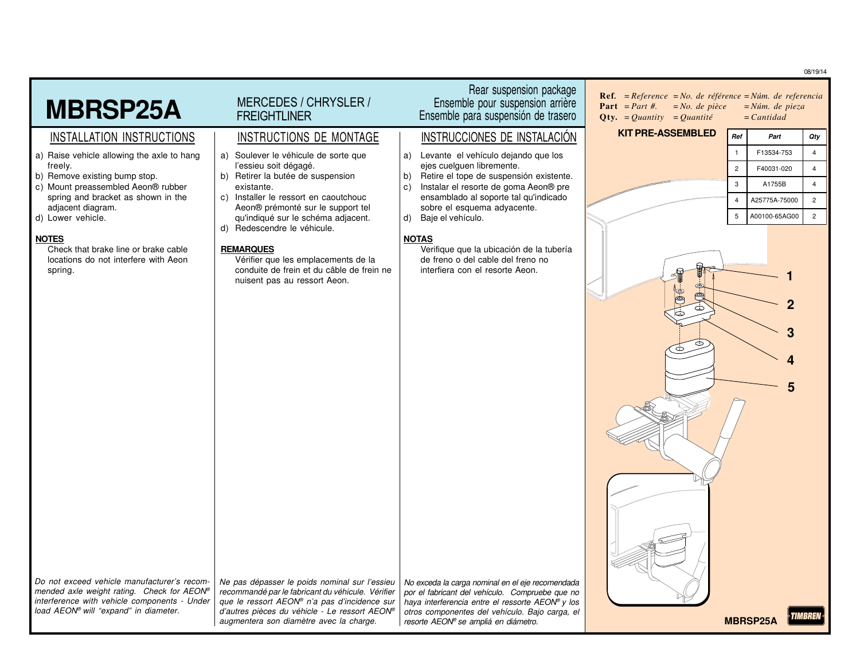08/19/14

|                                                                                                                                                        |                                                                                                                                                                                                                         |                                                                                                                                                                                               |                                                                                                                                                                                 |                     |                      | ,,,,,,                           |
|--------------------------------------------------------------------------------------------------------------------------------------------------------|-------------------------------------------------------------------------------------------------------------------------------------------------------------------------------------------------------------------------|-----------------------------------------------------------------------------------------------------------------------------------------------------------------------------------------------|---------------------------------------------------------------------------------------------------------------------------------------------------------------------------------|---------------------|----------------------|----------------------------------|
| <b>MBRSP25A</b>                                                                                                                                        | MERCEDES / CHRYSLER /<br><b>FREIGHTLINER</b>                                                                                                                                                                            | Rear suspension package<br>Ensemble pour suspension arrière<br>Ensemble para suspensión de trasero                                                                                            | <b>Ref.</b> = $Reference$ = $No$ . de référence = $Núm$ . de referencia<br><b>Part</b> = <i>Part #</i> .<br>$= No.$ de pièce<br><b>Qty.</b> = <i>Quantity</i> = <i>Quantité</i> | $=$ <i>Cantidad</i> | $=N$ úm. de pieza    |                                  |
| INSTALLATION INSTRUCTIONS                                                                                                                              | INSTRUCTIONS DE MONTAGE                                                                                                                                                                                                 | INSTRUCCIONES DE INSTALACIÓN                                                                                                                                                                  | <b>KIT PRE-ASSEMBLED</b>                                                                                                                                                        | Ref                 | Part                 | Qty                              |
| a) Raise vehicle allowing the axle to hang<br>freely.                                                                                                  | Soulever le véhicule de sorte que<br>a)<br>l'essieu soit dégagé.                                                                                                                                                        | Levante el vehículo dejando que los<br>a)<br>ejes cuelquen libremente.                                                                                                                        |                                                                                                                                                                                 | $\overline{1}$      | F13534-753           | $\overline{4}$                   |
| b) Remove existing bump stop.                                                                                                                          | b) Retirer la butée de suspension                                                                                                                                                                                       | Retire el tope de suspensión existente.<br>b)                                                                                                                                                 |                                                                                                                                                                                 | $\overline{c}$<br>3 | F40031-020<br>A1755B | $\overline{4}$<br>$\overline{4}$ |
| c) Mount preassembled Aeon® rubber<br>spring and bracket as shown in the                                                                               | existante.<br>Installer le ressort en caoutchouc<br>C)                                                                                                                                                                  | Instalar el resorte de goma Aeon® pre<br>C)<br>ensamblado al soporte tal qu'indicado                                                                                                          |                                                                                                                                                                                 | $\overline{4}$      | A25775A-75000        | $\overline{c}$                   |
| adjacent diagram.<br>d) Lower vehicle.                                                                                                                 | Aeon® prémonté sur le support tel<br>qu'indiqué sur le schéma adjacent.                                                                                                                                                 | sobre el esquema adyacente.<br>Baje el vehículo.<br>d)                                                                                                                                        |                                                                                                                                                                                 | 5                   | A00100-65AG00        | $\overline{c}$                   |
| <b>NOTES</b><br>Check that brake line or brake cable<br>locations do not interfere with Aeon<br>spring.<br>Do not exceed vehicle manufacturer's recom- | Redescendre le véhicule.<br>d)<br><b>REMARQUES</b><br>Vérifier que les emplacements de la<br>conduite de frein et du câble de frein ne<br>nuisent pas au ressort Aeon.<br>Ne pas dépasser le poids nominal sur l'essieu | <b>NOTAS</b><br>Verifique que la ubicación de la tubería<br>de freno o del cable del freno no<br>interfiera con el resorte Aeon.<br>No exceda la carga nominal en el eje recomendada          | Þ                                                                                                                                                                               |                     | 5                    |                                  |
| mended axle weight rating. Check for AEON®<br>interference with vehicle components - Under<br>load AEON® will "expand" in diameter.                    | recommandé par le fabricant du véhicule. Vérifier<br>que le ressort AEON® n'a pas d'incidence sur<br>d'autres pièces du véhicle - Le ressort AEON®<br>augmentera son diamètre avec la charge.                           | por el fabricant del vehículo. Compruebe que no<br>haya interferencia entre el ressorte AEON® y los<br>otros componentes del vehículo. Bajo carga, el<br>resorte AEON® se ampliá en diámetro. |                                                                                                                                                                                 | <b>MBRSP25A</b>     |                      |                                  |